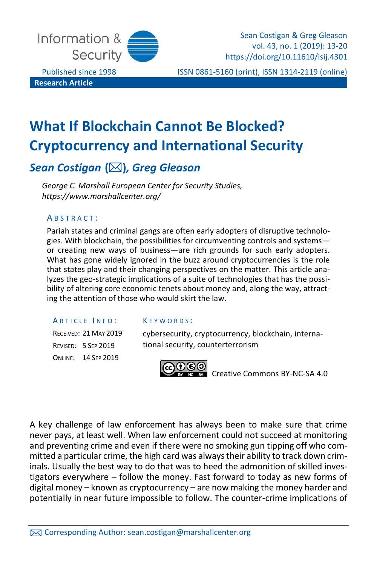

**Research Article**

Sean Costigan & Greg Gleason vol. 43, no. 1 (2019): 13-20 https://doi.org/10.11610/isij.4301

Published since 1998 ISSN 0861-5160 (print), ISSN 1314-2119 (online)

# **What If Blockchain Cannot Be Blocked? Cryptocurrency and International Security**

# *Sean Costigan* **()***, Greg Gleason*

*George C. Marshall European Center for Security Studies, https://www.marshallcenter.org/*

#### A B S T R A C T :

Pariah states and criminal gangs are often early adopters of disruptive technologies. With blockchain, the possibilities for circumventing controls and systems or creating new ways of business—are rich grounds for such early adopters. What has gone widely ignored in the buzz around cryptocurrencies is the role that states play and their changing perspectives on the matter. This article analyzes the geo-strategic implications of a suite of technologies that has the possibility of altering core economic tenets about money and, along the way, attracting the attention of those who would skirt the law.

#### ARTICLE INFO:

RECEIVED: 21 MAY 2019 REVISED: 5 SEP 2019 ONLINE: 14 SEP 2019

#### $K$  F Y W  $O$  R D S  $\cdot$

cybersecurity, cryptocurrency, blockchain, international security, counterterrorism



**EXEC** Creative Commons BY-NC-SA 4.0

A key challenge of law enforcement has always been to make sure that crime never pays, at least well. When law enforcement could not succeed at monitoring and preventing crime and even if there were no smoking gun tipping off who committed a particular crime, the high card was always their ability to track down criminals. Usually the best way to do that was to heed the admonition of skilled investigators everywhere – follow the money. Fast forward to today as new forms of digital money – known as cryptocurrency – are now making the money harder and potentially in near future impossible to follow. The counter-crime implications of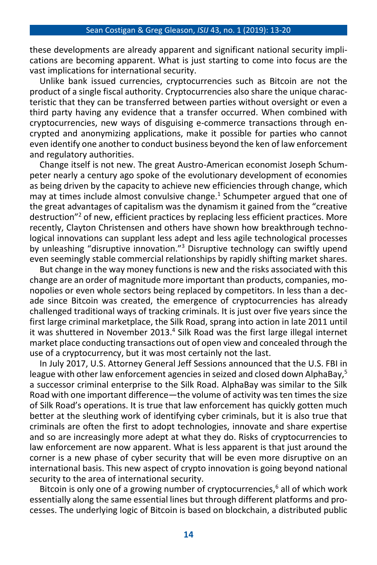these developments are already apparent and significant national security implications are becoming apparent. What is just starting to come into focus are the vast implications for international security.

Unlike bank issued currencies, cryptocurrencies such as Bitcoin are not the product of a single fiscal authority. Cryptocurrencies also share the unique characteristic that they can be transferred between parties without oversight or even a third party having any evidence that a transfer occurred. When combined with cryptocurrencies, new ways of disguising e-commerce transactions through encrypted and anonymizing applications, make it possible for parties who cannot even identify one another to conduct business beyond the ken of law enforcement and regulatory authorities.

Change itself is not new. The great Austro-American economist Joseph Schumpeter nearly a century ago spoke of the evolutionary development of economies as being driven by the capacity to achieve new efficiencies through change, which may at times include almost convulsive change.<sup>1</sup> Schumpeter argued that one of the great advantages of capitalism was the dynamism it gained from the "creative destruction"<sup>2</sup> of new, efficient practices by replacing less efficient practices. More recently, Clayton Christensen and others have shown how breakthrough technological innovations can supplant less adept and less agile technological processes by unleashing "disruptive innovation."<sup>3</sup> Disruptive technology can swiftly upend even seemingly stable commercial relationships by rapidly shifting market shares.

But change in the way money functions is new and the risks associated with this change are an order of magnitude more important than products, companies, monopolies or even whole sectors being replaced by competitors. In less than a decade since Bitcoin was created, the emergence of cryptocurrencies has already challenged traditional ways of tracking criminals. It is just over five years since the first large criminal marketplace, the Silk Road, sprang into action in late 2011 until it was shuttered in November 2013.<sup>4</sup> Silk Road was the first large illegal internet market place conducting transactions out of open view and concealed through the use of a cryptocurrency, but it was most certainly not the last.

In July 2017, U.S. Attorney General Jeff Sessions announced that the U.S. FBI in league with other law enforcement agencies in seized and closed down AlphaBay,<sup>5</sup> a successor criminal enterprise to the Silk Road. AlphaBay was similar to the Silk Road with one important difference—the volume of activity was ten times the size of Silk Road's operations. It is true that law enforcement has quickly gotten much better at the sleuthing work of identifying cyber criminals, but it is also true that criminals are often the first to adopt technologies, innovate and share expertise and so are increasingly more adept at what they do. Risks of cryptocurrencies to law enforcement are now apparent. What is less apparent is that just around the corner is a new phase of cyber security that will be even more disruptive on an international basis. This new aspect of crypto innovation is going beyond national security to the area of international security.

Bitcoin is only one of a growing number of cryptocurrencies,<sup>6</sup> all of which work essentially along the same essential lines but through different platforms and processes. The underlying logic of Bitcoin is based on blockchain, a distributed public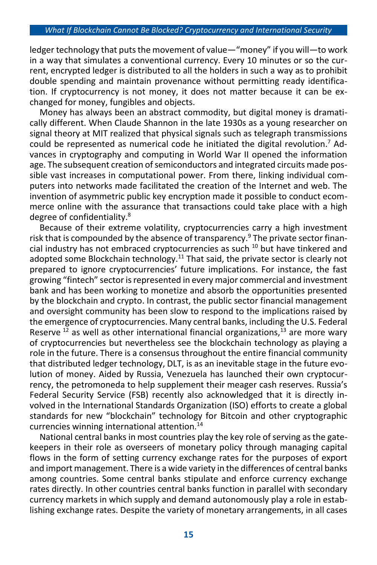#### *What If Blockchain Cannot Be Blocked? Cryptocurrency and International Security*

ledger technology that puts the movement of value—"money" if you will—to work in a way that simulates a conventional currency. Every 10 minutes or so the current, encrypted ledger is distributed to all the holders in such a way as to prohibit double spending and maintain provenance without permitting ready identification. If cryptocurrency is not money, it does not matter because it can be exchanged for money, fungibles and objects.

Money has always been an abstract commodity, but digital money is dramatically different. When Claude Shannon in the late 1930s as a young researcher on signal theory at MIT realized that physical signals such as telegraph transmissions could be represented as numerical code he initiated the digital revolution.<sup>7</sup> Advances in cryptography and computing in World War II opened the information age. The subsequent creation of semiconductors and integrated circuits made possible vast increases in computational power. From there, linking individual computers into networks made facilitated the creation of the Internet and web. The invention of asymmetric public key encryption made it possible to conduct ecommerce online with the assurance that transactions could take place with a high degree of confidentiality.<sup>8</sup>

Because of their extreme volatility, cryptocurrencies carry a high investment risk that is compounded by the absence of transparency.<sup>9</sup> The private sector financial industry has not embraced cryptocurrencies as such <sup>10</sup> but have tinkered and adopted some Blockchain technology.<sup>11</sup> That said, the private sector is clearly not prepared to ignore cryptocurrencies' future implications. For instance, the fast growing "fintech" sector is represented in every major commercial and investment bank and has been working to monetize and absorb the opportunities presented by the blockchain and crypto. In contrast, the public sector financial management and oversight community has been slow to respond to the implications raised by the emergence of cryptocurrencies. Many central banks, including the U.S. Federal Reserve  $^{12}$  as well as other international financial organizations,  $^{13}$  are more wary of cryptocurrencies but nevertheless see the blockchain technology as playing a role in the future. There is a consensus throughout the entire financial community that distributed ledger technology, DLT, is as an inevitable stage in the future evolution of money. Aided by Russia, Venezuela has launched their own cryptocurrency, the petromoneda to help supplement their meager cash reserves. Russia's Federal Security Service (FSB) recently also acknowledged that it is directly involved in the International Standards Organization (ISO) efforts to create a global standards for new "blockchain" technology for Bitcoin and other cryptographic currencies winning international attention.<sup>14</sup>

National central banks in most countries play the key role of serving as the gatekeepers in their role as overseers of monetary policy through managing capital flows in the form of setting currency exchange rates for the purposes of export and import management. There is a wide variety in the differences of central banks among countries. Some central banks stipulate and enforce currency exchange rates directly. In other countries central banks function in parallel with secondary currency markets in which supply and demand autonomously play a role in establishing exchange rates. Despite the variety of monetary arrangements, in all cases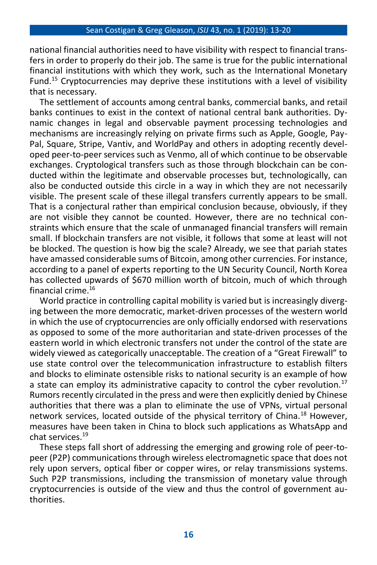national financial authorities need to have visibility with respect to financial transfers in order to properly do their job. The same is true for the public international financial institutions with which they work, such as the International Monetary Fund.<sup>15</sup> Cryptocurrencies may deprive these institutions with a level of visibility that is necessary.

The settlement of accounts among central banks, commercial banks, and retail banks continues to exist in the context of national central bank authorities. Dynamic changes in legal and observable payment processing technologies and mechanisms are increasingly relying on private firms such as Apple, Google, Pay-Pal, Square, Stripe, Vantiv, and WorldPay and others in adopting recently developed peer-to-peer services such as Venmo, all of which continue to be observable exchanges. Cryptological transfers such as those through blockchain can be conducted within the legitimate and observable processes but, technologically, can also be conducted outside this circle in a way in which they are not necessarily visible. The present scale of these illegal transfers currently appears to be small. That is a conjectural rather than empirical conclusion because, obviously, if they are not visible they cannot be counted. However, there are no technical constraints which ensure that the scale of unmanaged financial transfers will remain small. If blockchain transfers are not visible, it follows that some at least will not be blocked. The question is how big the scale? Already, we see that pariah states have amassed considerable sums of Bitcoin, among other currencies. For instance, according to a panel of experts reporting to the UN Security Council, North Korea has collected upwards of \$670 million worth of bitcoin, much of which through financial crime.<sup>16</sup>

World practice in controlling capital mobility is varied but is increasingly diverging between the more democratic, market-driven processes of the western world in which the use of cryptocurrencies are only officially endorsed with reservations as opposed to some of the more authoritarian and state-driven processes of the eastern world in which electronic transfers not under the control of the state are widely viewed as categorically unacceptable. The creation of a "Great Firewall" to use state control over the telecommunication infrastructure to establish filters and blocks to eliminate ostensible risks to national security is an example of how a state can employ its administrative capacity to control the cyber revolution. $17$ Rumors recently circulated in the press and were then explicitly denied by Chinese authorities that there was a plan to eliminate the use of VPNs, virtual personal network services, located outside of the physical territory of China.<sup>18</sup> However, measures have been taken in China to block such applications as WhatsApp and chat services.<sup>19</sup>

These steps fall short of addressing the emerging and growing role of peer-topeer (P2P) communications through wireless electromagnetic space that does not rely upon servers, optical fiber or copper wires, or relay transmissions systems. Such P2P transmissions, including the transmission of monetary value through cryptocurrencies is outside of the view and thus the control of government authorities.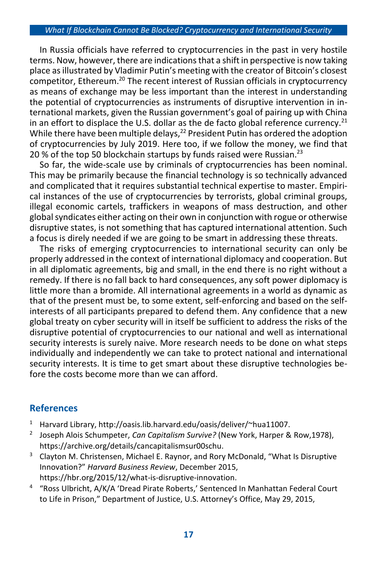#### *What If Blockchain Cannot Be Blocked? Cryptocurrency and International Security*

In Russia officials have referred to cryptocurrencies in the past in very hostile terms. Now, however, there are indications that a shift in perspective is now taking place as illustrated by Vladimir Putin's meeting with the creator of Bitcoin's closest competitor, Ethereum.<sup>20</sup> The recent interest of Russian officials in cryptocurrency as means of exchange may be less important than the interest in understanding the potential of cryptocurrencies as instruments of disruptive intervention in international markets, given the Russian government's goal of pairing up with China in an effort to displace the U.S. dollar as the de facto global reference currency.<sup>21</sup> While there have been multiple delays, $^{22}$  President Putin has ordered the adoption of cryptocurrencies by July 2019. Here too, if we follow the money, we find that 20 % of the top 50 blockchain startups by funds raised were Russian.<sup>23</sup>

So far, the wide-scale use by criminals of cryptocurrencies has been nominal. This may be primarily because the financial technology is so technically advanced and complicated that it requires substantial technical expertise to master. Empirical instances of the use of cryptocurrencies by terrorists, global criminal groups, illegal economic cartels, traffickers in weapons of mass destruction, and other global syndicates either acting on their own in conjunction with rogue or otherwise disruptive states, is not something that has captured international attention. Such a focus is direly needed if we are going to be smart in addressing these threats.

The risks of emerging cryptocurrencies to international security can only be properly addressed in the context of international diplomacy and cooperation. But in all diplomatic agreements, big and small, in the end there is no right without a remedy. If there is no fall back to hard consequences, any soft power diplomacy is little more than a bromide. All international agreements in a world as dynamic as that of the present must be, to some extent, self-enforcing and based on the selfinterests of all participants prepared to defend them. Any confidence that a new global treaty on cyber security will in itself be sufficient to address the risks of the disruptive potential of cryptocurrencies to our national and well as international security interests is surely naive. More research needs to be done on what steps individually and independently we can take to protect national and international security interests. It is time to get smart about these disruptive technologies before the costs become more than we can afford.

### **References**

- <sup>1</sup> Harvard Library, http://oasis.lib.harvard.edu/oasis/deliver/~hua11007.
- 2 Joseph Alois Schumpeter, *Can Capitalism Survive?* (New York, Harper & Row,1978), https://archive.org/details/cancapitalismsur00schu.
- $3$  Clayton M. Christensen, Michael E. Raynor, and Rory McDonald, "What Is Disruptive Innovation?" *Harvard Business Review*, December 2015, https://hbr.org/2015/12/what-is-disruptive-innovation.
- 4 "Ross Ulbricht, A/K/A 'Dread Pirate Roberts,' Sentenced In Manhattan Federal Court to Life in Prison," Department of Justice, U.S. Attorney's Office, May 29, 2015,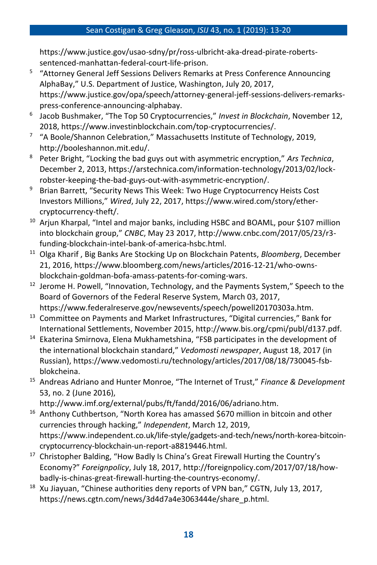#### Sean Costigan & Greg Gleason, *ISIJ* 43, no. 1 (2019): 13-20

https://www.justice.gov/usao-sdny/pr/ross-ulbricht-aka-dread-pirate-robertssentenced-manhattan-federal-court-life-prison.

- 5 "Attorney General Jeff Sessions Delivers Remarks at Press Conference Announcing AlphaBay," U.S. Department of Justice, Washington, July 20, 2017, https://www.justice.gov/opa/speech/attorney-general-jeff-sessions-delivers-remarkspress-conference-announcing-alphabay.
- 6 Jacob Bushmaker, "The Top 50 Cryptocurrencies," *Invest in Blockchain*, November 12, 2018, https://www.investinblockchain.com/top-cryptocurrencies/.
- <sup>7</sup> "A Boole/Shannon Celebration," Massachusetts Institute of Technology, 2019, http://booleshannon.mit.edu/.
- <sup>8</sup> Peter Bright, "Locking the bad guys out with asymmetric encryption," *Ars Technica*, December 2, 2013, https://arstechnica.com/information-technology/2013/02/lockrobster-keeping-the-bad-guys-out-with-asymmetric-encryption/.
- <sup>9</sup> Brian Barrett, "Security News This Week: Two Huge Cryptocurrency Heists Cost Investors Millions," *Wired*, July 22, 2017, https://www.wired.com/story/ethercryptocurrency-theft/.
- <sup>10</sup> Arjun Kharpal, "Intel and major banks, including HSBC and BOAML, pour \$107 million into blockchain group," *CNBC*, May 23 2017, http://www.cnbc.com/2017/05/23/r3 funding-blockchain-intel-bank-of-america-hsbc.html.
- <sup>11</sup> Olga Kharif , Big Banks Are Stocking Up on Blockchain Patents, *Bloomberg*, December 21, 2016, https://www.bloomberg.com/news/articles/2016-12-21/who-ownsblockchain-goldman-bofa-amass-patents-for-coming-wars.
- $12$  Jerome H. Powell, "Innovation, Technology, and the Payments System," Speech to the Board of Governors of the Federal Reserve System, March 03, 2017, https://www.federalreserve.gov/newsevents/speech/powell20170303a.htm.
- <sup>13</sup> Committee on Payments and Market Infrastructures, "Digital currencies," Bank for International Settlements, November 2015, http://www.bis.org/cpmi/publ/d137.pdf.
- <sup>14</sup> Ekaterina Smirnova, Elena Mukhametshina, "FSB participates in the development of the international blockchain standard," *Vedomosti newspaper*, August 18, 2017 (in Russian), https://www.vedomosti.ru/technology/articles/2017/08/18/730045-fsbblokcheina.
- <sup>15</sup> Andreas Adriano and Hunter Monroe, "The Internet of Trust," *Finance & Development* 53, no. 2 (June 2016),
	- http://www.imf.org/external/pubs/ft/fandd/2016/06/adriano.htm.
- $16$  Anthony Cuthbertson, "North Korea has amassed \$670 million in bitcoin and other currencies through hacking," *Independent*, March 12, 2019, https://www.independent.co.uk/life-style/gadgets-and-tech/news/north-korea-bitcoincryptocurrency-blockchain-un-report-a8819446.html.
- <sup>17</sup> Christopher Balding, "How Badly Is China's Great Firewall Hurting the Country's Economy?" *Foreignpolicy*, July 18, 2017, http://foreignpolicy.com/2017/07/18/howbadly-is-chinas-great-firewall-hurting-the-countrys-economy/.
- $18$  Xu Jiayuan, "Chinese authorities deny reports of VPN ban," CGTN, July 13, 2017, https://news.cgtn.com/news/3d4d7a4e3063444e/share\_p.html.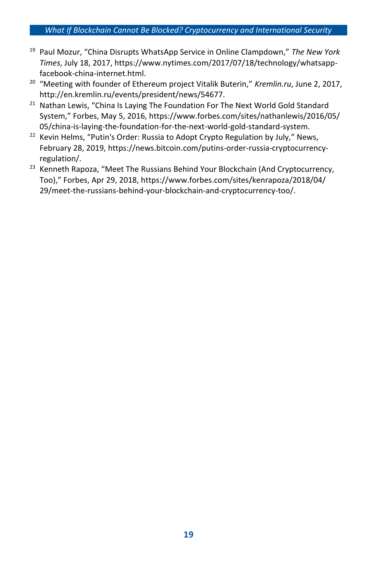#### *What If Blockchain Cannot Be Blocked? Cryptocurrency and International Security*

- <sup>19</sup> Paul Mozur, "China Disrupts WhatsApp Service in Online Clampdown," *The New York Times*, July 18, 2017, https://www.nytimes.com/2017/07/18/technology/whatsappfacebook-china-internet.html.
- <sup>20</sup> "Meeting with founder of Ethereum project Vitalik Buterin," *Kremlin.ru*, June 2, 2017, http://en.kremlin.ru/events/president/news/54677.
- <sup>21</sup> Nathan Lewis, "China Is Laying The Foundation For The Next World Gold Standard System," Forbes, May 5, 2016, https://www.forbes.com/sites/nathanlewis/2016/05/ 05/china-is-laying-the-foundation-for-the-next-world-gold-standard-system.
- <sup>22</sup> Kevin Helms, "Putin's Order: Russia to Adopt Crypto Regulation by July," News, February 28, 2019, https://news.bitcoin.com/putins-order-russia-cryptocurrencyregulation/.
- $23$  Kenneth Rapoza, "Meet The Russians Behind Your Blockchain (And Cryptocurrency, Too)," Forbes, Apr 29, 2018, https://www.forbes.com/sites/kenrapoza/2018/04/ 29/meet-the-russians-behind-your-blockchain-and-cryptocurrency-too/.